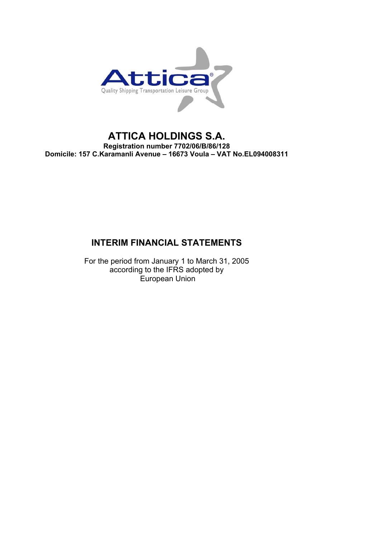

# **ATTICA HOLDINGS S.A. Registration number 7702/06/B/86/128 Domicile: 157 C.Karamanli Avenue – 16673 Voula – VAT No.EL094008311**

# **INTERIM FINANCIAL STATEMENTS**

For the period from January 1 to March 31, 2005 according to the IFRS adopted by European Union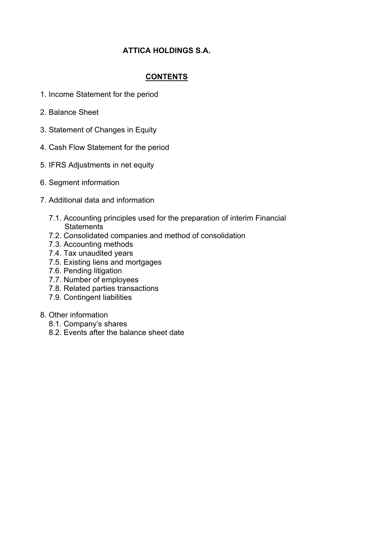# **ATTICA HOLDINGS S.A.**

# **CONTENTS**

- 1. Income Statement for the period
- 2. Balance Sheet
- 3. Statement of Changes in Equity
- 4. Cash Flow Statement for the period
- 5. IFRS Adjustments in net equity
- 6. Segment information
- 7. Additional data and information
	- 7.1. Accounting principles used for the preparation of interim Financial **Statements**
	- 7.2. Consolidated companies and method of consolidation
	- 7.3. Accounting methods
	- 7.4. Tax unaudited years
	- 7.5. Existing liens and mortgages
	- 7.6. Pending litigation
	- 7.7. Number of employees
	- 7.8. Related parties transactions
	- 7.9. Contingent liabilities
- 8. Other information
	- 8.1. Company's shares
	- 8.2. Events after the balance sheet date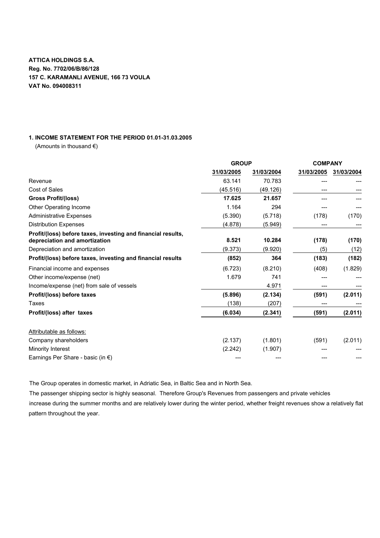### **1. INCOME STATEMENT FOR THE PERIOD 01.01-31.03.2005**

(Amounts in thousand  $\epsilon$ )

|                                                                                               | <b>GROUP</b> |            | <b>COMPANY</b> |            |
|-----------------------------------------------------------------------------------------------|--------------|------------|----------------|------------|
|                                                                                               | 31/03/2005   | 31/03/2004 | 31/03/2005     | 31/03/2004 |
| Revenue                                                                                       | 63.141       | 70.783     |                |            |
| Cost of Sales                                                                                 | (45.516)     | (49.126)   |                |            |
| <b>Gross Profit/(loss)</b>                                                                    | 17.625       | 21.657     |                |            |
| Other Operating Income                                                                        | 1.164        | 294        |                |            |
| <b>Administrative Expenses</b>                                                                | (5.390)      | (5.718)    | (178)          | (170)      |
| <b>Distribution Expenses</b>                                                                  | (4.878)      | (5.949)    |                |            |
| Profit/(loss) before taxes, investing and financial results,<br>depreciation and amortization | 8.521        | 10.284     | (178)          | (170)      |
| Depreciation and amortization                                                                 | (9.373)      | (9.920)    | (5)            | (12)       |
| Profit/(loss) before taxes, investing and financial results                                   | (852)        | 364        | (183)          | (182)      |
| Financial income and expenses                                                                 | (6.723)      | (8.210)    | (408)          | (1.829)    |
| Other income/expense (net)                                                                    | 1.679        | 741        |                |            |
| Income/expense (net) from sale of vessels                                                     |              | 4.971      |                |            |
| Profit/(loss) before taxes                                                                    | (5.896)      | (2.134)    | (591)          | (2.011)    |
| Taxes                                                                                         | (138)        | (207)      | ---            |            |
| Profit/(loss) after taxes                                                                     | (6.034)      | (2.341)    | (591)          | (2.011)    |
| Attributable as follows:                                                                      |              |            |                |            |
| Company shareholders                                                                          | (2.137)      | (1.801)    | (591)          | (2.011)    |
| Minority Interest                                                                             | (2.242)      | (1.907)    |                |            |
| Earnings Per Share - basic (in $\epsilon$ )                                                   |              |            |                |            |

The Group operates in domestic market, in Adriatic Sea, in Baltic Sea and in North Sea.

The passenger shipping sector is highly seasonal. Therefore Group's Revenues from passengers and private vehicles increase during the summer months and are relatively lower during the winter period, whether freight revenues show a relatively flat pattern throughout the year.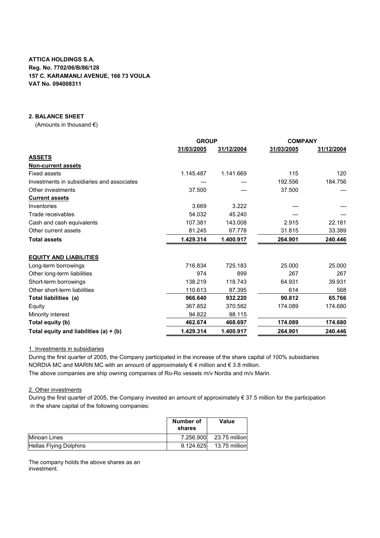### **2. BALANCE SHEET**

(Amounts in thousand  $\epsilon$ )

|                                            | <b>GROUP</b> |            | <b>COMPANY</b> |            |
|--------------------------------------------|--------------|------------|----------------|------------|
|                                            | 31/03/2005   | 31/12/2004 | 31/03/2005     | 31/12/2004 |
| <b>ASSETS</b>                              |              |            |                |            |
| <b>Non-current assets</b>                  |              |            |                |            |
| <b>Fixed assets</b>                        | 1.145.487    | 1.141.669  | 115            | 120        |
| Investments in subsidiaries and associates |              |            | 192.556        | 184.756    |
| Other investments                          | 37.500       |            | 37.500         |            |
| <b>Current assets</b>                      |              |            |                |            |
| Inventories                                | 3.669        | 3.222      |                |            |
| Trade receivables                          | 54.032       | 45.240     |                |            |
| Cash and cash equivalents                  | 107.381      | 143.008    | 2.915          | 22.181     |
| Other current assets                       | 81.245       | 67.778     | 31.815         | 33.389     |
| <b>Total assets</b>                        | 1.429.314    | 1.400.917  | 264.901        | 240.446    |
| <b>EQUITY AND LIABILITIES</b>              |              |            |                |            |
| Long-term borrowings                       | 716.834      | 725.183    | 25.000         | 25.000     |
| Other long-term liabilities                | 974          | 899        | 267            | 267        |
| Short-term borrowings                      | 138.219      | 118.743    | 64.931         | 39.931     |
| Other short-term liabilities               | 110.613      | 87.395     | 614            | 568        |
| Total liabilities (a)                      | 966.640      | 932.220    | 90.812         | 65.766     |
| Equity                                     | 367.852      | 370.582    | 174.089        | 174.680    |
| Minority interest                          | 94.822       | 98.115     |                |            |
| Total equity (b)                           | 462.674      | 468.697    | 174.089        | 174.680    |
| Total equity and liabilities (a) + (b)     | 1.429.314    | 1.400.917  | 264.901        | 240.446    |

1. Investments in subsidiaries

During the first quarter of 2005, the Company participated in the increase of the share capital of 100% subsidiaries NORDIA MC and MARIN MC with an amount of approximately  $\epsilon$  4 million and  $\epsilon$  3.8 million.

The above companies are ship owning companies of Ro-Ro vessels m/v Nordia and m/v Marin.

#### 2. Other investments

During the first quarter of 2005, the Company invested an amount of approximately € 37.5 million for the participation in the share capital of the following companies:

|                               | Number of<br>shares | Value          |
|-------------------------------|---------------------|----------------|
| Minoan Lines                  | 7.256.900           | 23.75 millionl |
| <b>Hellas Flying Dolphins</b> | 9.124.625           | 13.75 millionl |

The company holds the above shares as an investment.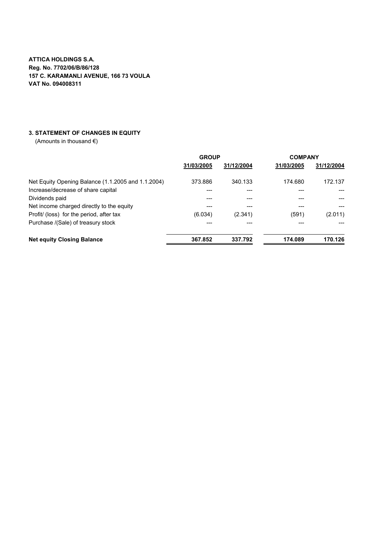### **3. STATEMENT OF CHANGES IN EQUITY**

|                                                    | <b>GROUP</b> |            | <b>COMPANY</b> |            |
|----------------------------------------------------|--------------|------------|----------------|------------|
|                                                    | 31/03/2005   | 31/12/2004 | 31/03/2005     | 31/12/2004 |
| Net Equity Opening Balance (1.1.2005 and 1.1.2004) | 373.886      | 340.133    | 174.680        | 172.137    |
| Increase/decrease of share capital                 |              |            |                |            |
| Dividends paid                                     |              |            |                |            |
| Net income charged directly to the equity          |              |            |                |            |
| Profit/ (loss) for the period, after tax           | (6.034)      | (2.341)    | (591)          | (2.011)    |
| Purchase /(Sale) of treasury stock                 |              |            |                |            |
| <b>Net equity Closing Balance</b>                  | 367.852      | 337.792    | 174.089        | 170.126    |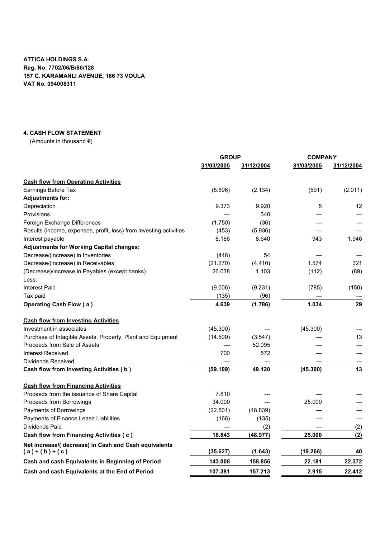#### **4. CASH FLOW STATEMENT**

|                                                                        | <b>GROUP</b> |            | <b>COMPANY</b> |            |
|------------------------------------------------------------------------|--------------|------------|----------------|------------|
|                                                                        | 31/03/2005   | 31/12/2004 | 31/03/2005     | 31/12/2004 |
| <b>Cash flow from Operating Activities</b>                             |              |            |                |            |
| Earnings Before Tax                                                    | (5.896)      | (2.134)    | (591)          | (2.011)    |
| <b>Adjustments for:</b>                                                |              |            |                |            |
| Depreciation                                                           | 9.373        | 9.920      | 5              | 12         |
| Provisions                                                             |              | 340        |                |            |
| Foreign Exchange Differences                                           | (1.750)      | (36)       |                |            |
| Results (income, expenses, profit, loss) from investing activities     | (453)        | (5.936)    |                |            |
| Interest payable                                                       | 8.186        | 8.640      | 943            | 1.946      |
| <b>Adjustments for Working Capital changes:</b>                        |              |            |                |            |
| Decrease/(increase) in Inventories                                     | (448)        | 54         |                |            |
| Decrease/(increase) in Receivables                                     | (21.270)     | (4.410)    | 1.574          | 321        |
| (Decrease)/increase in Payables (except banks)                         | 26.038       | 1.103      | (112)          | (89)       |
| Less:                                                                  |              |            |                |            |
| <b>Interest Paid</b>                                                   | (9.006)      | (9.231)    | (785)          | (150)      |
| Tax paid                                                               | (135)        | (96)       |                |            |
| <b>Operating Cash Flow (a)</b>                                         | 4.639        | (1.786)    | 1.034          | 29         |
| <b>Cash flow from Investing Activities</b>                             |              |            |                |            |
| Investment in associates                                               | (45.300)     |            | (45.300)       |            |
| Purchase of Intagible Assets, Property, Plant and Equipment            | (14.509)     | (3.547)    |                | 13         |
| Proceeds from Sale of Assets                                           |              | 52.095     |                |            |
| <b>Interest Received</b>                                               | 700          | 572        |                |            |
| Dividends Received                                                     |              |            |                |            |
| Cash flow from Investing Activities (b)                                | (59.109)     | 49.120     | (45.300)       | 13         |
| <b>Cash flow from Financing Activities</b>                             |              |            |                |            |
| Proceeds from the issuance of Share Capital                            | 7.810        |            |                |            |
| Proceeds from Borrowings                                               | 34.000       |            | 25.000         |            |
| Payments of Borrowings                                                 | (22.801)     | (48.839)   |                |            |
| Payments of Finance Lease Liabilities                                  | (166)        | (135)      |                |            |
| Dividends Paid                                                         |              | (2)        |                | (2)        |
| Cash flow from Financing Activities (c)                                | 18.843       | (48.977)   | 25.000         | (2)        |
| Net increase/( decrease) in Cash and Cash equivalents<br>$(a)+(b)+(c)$ | (35.627)     | (1.643)    | (19.266)       | 40         |
| Cash and cash Equivalents in Beginning of Period                       | 143.008      | 158.856    | 22.181         | 22.372     |
| Cash and cash Equivalents at the End of Period                         | 107.381      | 157.213    | 2.915          | 22.412     |
|                                                                        |              |            |                |            |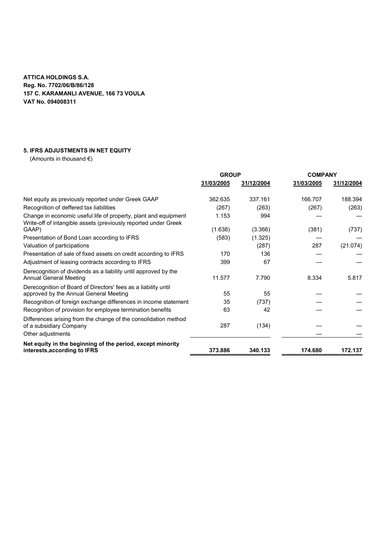# **5. IFRS ADJUSTMENTS IN NET EQUITY**

|                                                                                                                                    | <b>GROUP</b> |            | <b>COMPANY</b> |            |
|------------------------------------------------------------------------------------------------------------------------------------|--------------|------------|----------------|------------|
|                                                                                                                                    | 31/03/2005   | 31/12/2004 | 31/03/2005     | 31/12/2004 |
| Net equity as previously reported under Greek GAAP                                                                                 | 362.635      | 337.161    | 166.707        | 188.394    |
| Recognition of deffered tax liabilities                                                                                            | (267)        | (263)      | (267)          | (263)      |
| Change in economic useful life of property, plant and equipment<br>Write-off of intangible assets (previously reported under Greek | 1.153        | 994        |                |            |
| GAAP)                                                                                                                              | (1.638)      | (3.366)    | (381)          | (737)      |
| Presentation of Bond Loan according to IFRS                                                                                        | (583)        | (1.325)    |                |            |
| Valuation of participations                                                                                                        |              | (287)      | 287            | (21.074)   |
| Presentation of sale of fixed assets on credit according to IFRS                                                                   | 170          | 136        |                |            |
| Adjustment of leasing contracts according to IFRS                                                                                  | 399          | 67         |                |            |
| Derecognition of dividends as a liability until approved by the<br>Annual General Meeting                                          | 11.577       | 7.790      | 8.334          | 5.817      |
| Derecognition of Board of Directors' fees as a liability until<br>approved by the Annual General Meeting                           | 55           | 55         |                |            |
| Recognition of foreign exchange differences in income statement                                                                    | 35           | (737)      |                |            |
| Recognition of provision for employee termination benefits                                                                         | 63           | 42         |                |            |
| Differences arising from the change of the consolidation method<br>of a subsidiary Company                                         | 287          | (134)      |                |            |
| Other adjustments                                                                                                                  |              |            |                |            |
| Net equity in the beginning of the period, except minority<br>interests, according to IFRS                                         | 373.886      | 340.133    | 174.680        | 172.137    |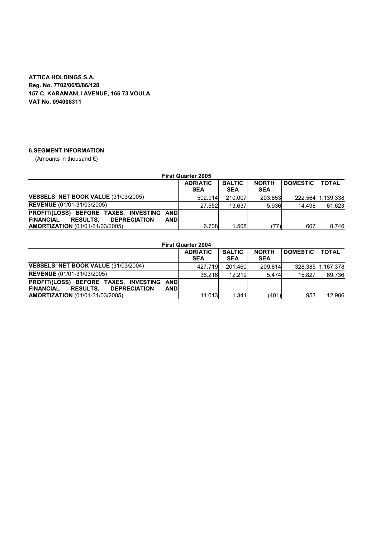# **6.SEGMENT INFORMATION**

| <b>First Quarter 2005</b>                                                                                             |                               |                             |                            |                 |                   |  |  |
|-----------------------------------------------------------------------------------------------------------------------|-------------------------------|-----------------------------|----------------------------|-----------------|-------------------|--|--|
|                                                                                                                       | <b>ADRIATIC</b><br><b>SEA</b> | <b>BALTIC</b><br><b>SEA</b> | <b>NORTH</b><br><b>SEA</b> | <b>DOMESTIC</b> | <b>TOTAL</b>      |  |  |
| <b>VESSELS' NET BOOK VALUE (31/03/2005)</b>                                                                           | 502.914                       | 210.007                     | 203.853                    |                 | 222.564 1.139.338 |  |  |
| <b>REVENUE</b> (01/01-31/03/2005)                                                                                     | 27.552                        | 13.637                      | 5.936                      | 14.498          | 61.623            |  |  |
| PROFIT/(LOSS) BEFORE TAXES, INVESTING AND<br><b>FINANCIAL</b><br><b>DEPRECIATION</b><br><b>RESULTS.</b><br><b>AND</b> |                               |                             |                            |                 |                   |  |  |
| <b>AMORTIZATION</b> (01/01-31/03/2005)                                                                                | 6.708                         | 1.508                       | (77)                       | 607             | 8.746             |  |  |

|                                                   | <b>First Quarter 2004</b>   |                                      |                 |                                  |  |  |  |  |
|---------------------------------------------------|-----------------------------|--------------------------------------|-----------------|----------------------------------|--|--|--|--|
| <b>ADRIATIC</b><br><b>SEA</b>                     | <b>BALTIC</b><br><b>SEA</b> | <b>NORTH</b><br><b>SEA</b>           | <b>DOMESTIC</b> | <b>TOTAL</b>                     |  |  |  |  |
|                                                   | 201.460                     |                                      |                 | 328.385 1.167.378                |  |  |  |  |
|                                                   | 12.219                      |                                      | 15.827          | 69.736                           |  |  |  |  |
| PROFIT/(LOSS) BEFORE TAXES, INVESTING AND<br>ANDI |                             |                                      |                 | 12.906                           |  |  |  |  |
|                                                   |                             | 427.719<br>36.216<br>11.013<br>1.341 |                 | 209.814<br>5.474<br>(401)<br>953 |  |  |  |  |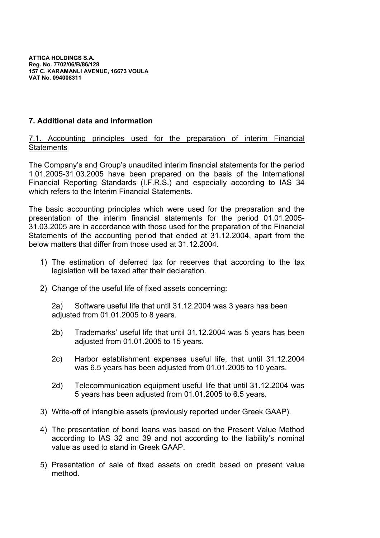# **7. Additional data and information**

# 7.1. Accounting principles used for the preparation of interim Financial **Statements**

The Company's and Group's unaudited interim financial statements for the period 1.01.2005-31.03.2005 have been prepared on the basis of the International Financial Reporting Standards (I.F.R.S.) and especially according to IAS 34 which refers to the Interim Financial Statements.

The basic accounting principles which were used for the preparation and the presentation of the interim financial statements for the period 01.01.2005- 31.03.2005 are in accordance with those used for the preparation of the Financial Statements of the accounting period that ended at 31.12.2004, apart from the below matters that differ from those used at 31.12.2004.

- 1) The estimation of deferred tax for reserves that according to the tax legislation will be taxed after their declaration.
- 2) Change of the useful life of fixed assets concerning:

2a) Software useful life that until 31.12.2004 was 3 years has been adjusted from 01.01.2005 to 8 years.

- 2b) Trademarks' useful life that until 31.12.2004 was 5 years has been adjusted from 01.01.2005 to 15 years.
- 2c) Harbor establishment expenses useful life, that until 31.12.2004 was 6.5 years has been adjusted from 01.01.2005 to 10 years.
- 2d) Telecommunication equipment useful life that until 31.12.2004 was 5 years has been adjusted from 01.01.2005 to 6.5 years.
- 3) Write-off of intangible assets (previously reported under Greek GAAP).
- 4) The presentation of bond loans was based on the Present Value Method according to IAS 32 and 39 and not according to the liability's nominal value as used to stand in Greek GAAP.
- 5) Presentation of sale of fixed assets on credit based on present value method.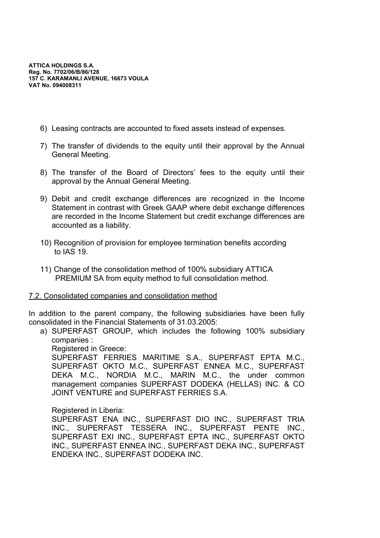- 6) Leasing contracts are accounted to fixed assets instead of expenses.
- 7) The transfer of dividends to the equity until their approval by the Annual General Meeting.
- 8) The transfer of the Board of Directors' fees to the equity until their approval by the Annual General Meeting.
- 9) Debit and credit exchange differences are recognized in the Income Statement in contrast with Greek GAAP where debit exchange differences are recorded in the Income Statement but credit exchange differences are accounted as a liability.
- 10) Recognition of provision for employee termination benefits according to IAS 19.
- 11) Change of the consolidation method of 100% subsidiary ATTICA PREMIUM SA from equity method to full consolidation method.

# 7.2. Consolidated companies and consolidation method

In addition to the parent company, the following subsidiaries have been fully consolidated in the Financial Statements of 31.03.2005:

a) SUPERFAST GROUP, which includes the following 100% subsidiary companies :

Registered in Greece:

SUPERFAST FERRIES MARITIME S.A., SUPERFAST EPTA M.C., SUPERFAST OKTO M.C., SUPERFAST ENNEA M.C., SUPERFAST DEKA M.C., NORDIA M.C., MARIN M.C., the under common management companies SUPERFAST DODEKA (HELLAS) INC. & CO JOINT VENTURE and SUPERFAST FERRIES S.A.

# Registered in Liberia:

SUPERFAST ENA INC., SUPERFAST DIO INC., SUPERFAST TRIA INC., SUPERFAST TESSERA INC., SUPERFAST PENTE INC., SUPERFAST EXI INC., SUPERFAST EPTA INC., SUPERFAST OKTO INC., SUPERFAST ENNEA INC., SUPERFAST DEKA INC., SUPERFAST ENDEKA INC., SUPERFAST DODEKA INC.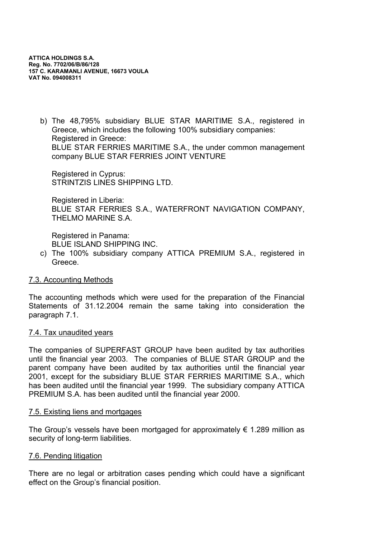b) The 48,795% subsidiary BLUE STAR MARITIME S.A., registered in Greece, which includes the following 100% subsidiary companies: Registered in Greece: BLUE STAR FERRIES MARITIME S.A., the under common management company BLUE STAR FERRIES JOINT VENTURE

Registered in Cyprus: STRINTZIS LINES SHIPPING LTD.

Registered in Liberia: BLUE STAR FERRIES S.A., WATERFRONT NAVIGATION COMPANY, THELMO MARINE S.A.

Registered in Panama: BLUE ISLAND SHIPPING INC.

c) The 100% subsidiary company ATTICA PREMIUM S.A., registered in Greece.

# 7.3. Accounting Methods

The accounting methods which were used for the preparation of the Financial Statements of 31.12.2004 remain the same taking into consideration the paragraph 7.1.

# 7.4. Tax unaudited years

The companies of SUPERFAST GROUP have been audited by tax authorities until the financial year 2003. The companies of BLUE STAR GROUP and the parent company have been audited by tax authorities until the financial year 2001, except for the subsidiary BLUE STAR FERRIES MARITIME S.A., which has been audited until the financial year 1999. The subsidiary company ATTICA PREMIUM S.A. has been audited until the financial year 2000.

# 7.5. Existing liens and mortgages

The Group's vessels have been mortgaged for approximately  $\epsilon$  1.289 million as security of long-term liabilities.

# 7.6. Pending litigation

There are no legal or arbitration cases pending which could have a significant effect on the Group's financial position.